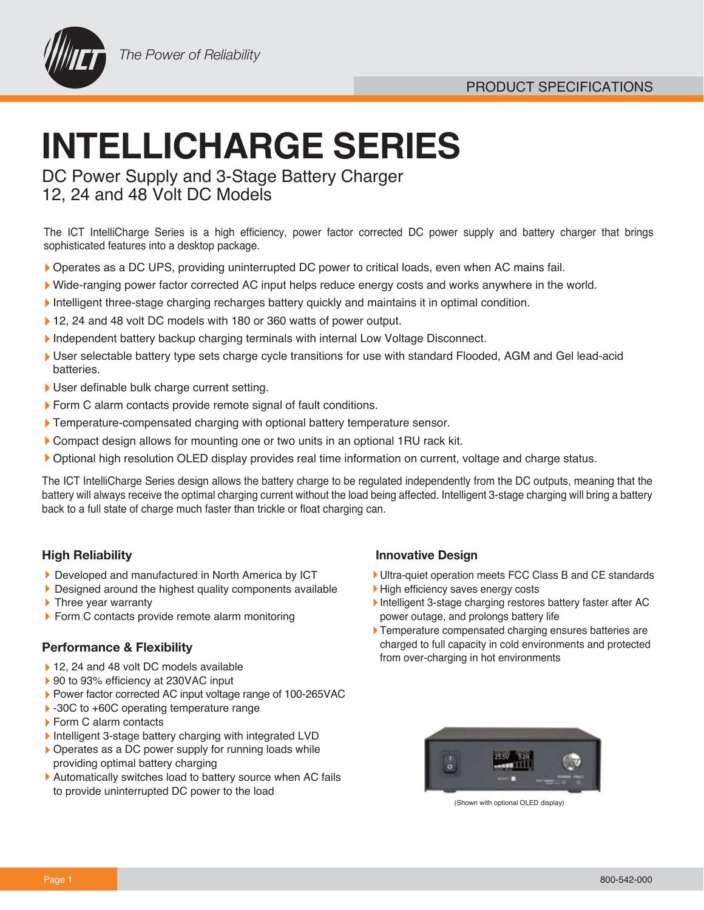

# **INTELLICHARGE SERIES**

DC Power Supply and 3-Stage Battery Charger 12, 24 and 48 Volt DC Models

The ICT IntelliCharge Series is a high efficiency, power factor corrected DC power supply and battery charger that brings sophisticated features into a desktop package.

- Operates as a DC UPS, providing uninterrupted DC power to critical loads, even when AC mains fail.
- Wide-ranging power factor corrected AC input helps reduce energy costs and works anywhere in the world.
- Intelligent three-stage charging recharges battery quickly and maintains it in optimal condition.
- ▶ 12, 24 and 48 volt DC models with 180 or 360 watts of power output.
- Independent battery backup charging terminals with internal Low Voltage Disconnect.
- User selectable battery type sets charge cycle transitions for use with standard Flooded, AGM and Gel lead-acid batteries.
- User definable bulk charge current setting.
- Form C alarm contacts provide remote signal of fault conditions.
- Temperature-compensated charging with optional battery temperature sensor.
- Compact design allows for mounting one or two units in an optional 1RU rack kit.
- Optional high resolution OLED display provides real time information on current, voltage and charge status.

The ICT IntelliCharge Series design allows the battery charge to be regulated independently from the DC outputs, meaning that the battery will always receive the optimal charging current without the load being affected. Intelligent 3-stage charging will bring a battery back to a full state of charge much faster than trickle or float charging can.

### **High Reliability**

- Developed and manufactured in North America by ICT
- **Designed around the highest quality components available**
- ▶ Three year warranty
- Form C contacts provide remote alarm monitoring

#### **Performance & Flexibility**

- ▶ 12, 24 and 48 volt DC models available
- ▶ 90 to 93% efficiency at 230VAC input
- Power factor corrected AC input voltage range of 100-265VAC
- ▶ -30C to +60C operating temperature range
- ▶ Form C alarm contacts
- Intelligent 3-stage battery charging with integrated LVD
- ▶ Operates as a DC power supply for running loads while providing optimal battery charging
- Automatically switches load to battery source when AC fails to provide uninterrupted DC power to the load

### **Innovative Design**

- Ultra-quiet operation meets FCC Class B and CE standards
- High efficiency saves energy costs
- Intelligent 3-stage charging restores battery faster after AC power outage, and prolongs battery life
- **Temperature compensated charging ensures batteries are** charged to full capacity in cold environments and protected from over-charging in hot environments



(Shown with optional OLED display)